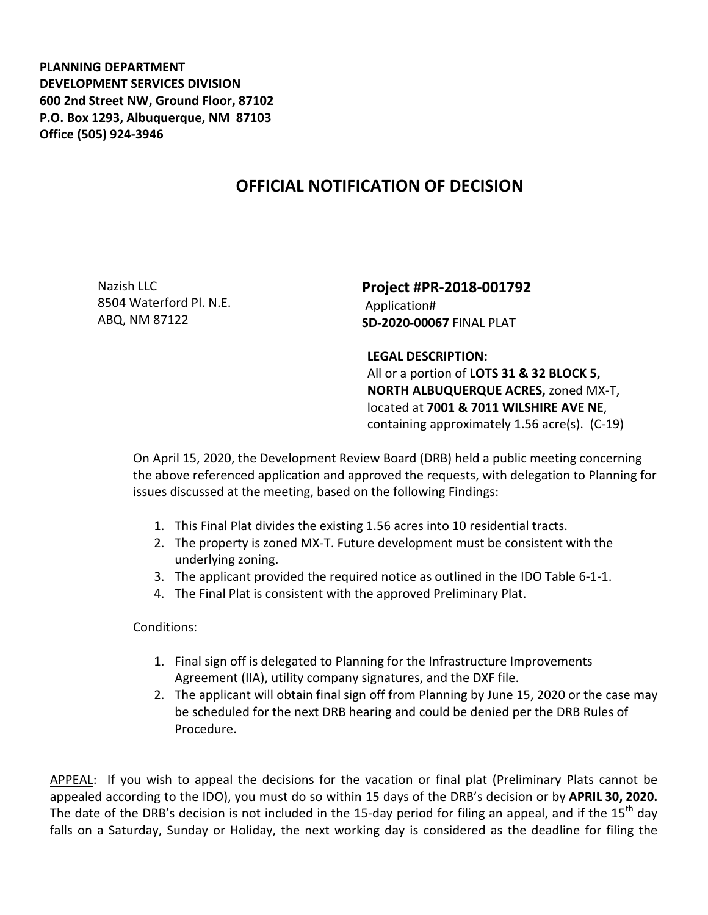**PLANNING DEPARTMENT DEVELOPMENT SERVICES DIVISION 600 2nd Street NW, Ground Floor, 87102 P.O. Box 1293, Albuquerque, NM 87103 Office (505) 924-3946** 

## **OFFICIAL NOTIFICATION OF DECISION**

Nazish LLC 8504 Waterford Pl. N.E. ABQ, NM 87122

**Project #PR-2018-001792**  Application# **SD-2020-00067** FINAL PLAT

## **LEGAL DESCRIPTION:**

All or a portion of **LOTS 31 & 32 BLOCK 5, NORTH ALBUQUERQUE ACRES,** zoned MX-T, located at **7001 & 7011 WILSHIRE AVE NE**, containing approximately 1.56 acre(s). (C-19)

On April 15, 2020, the Development Review Board (DRB) held a public meeting concerning the above referenced application and approved the requests, with delegation to Planning for issues discussed at the meeting, based on the following Findings:

- 1. This Final Plat divides the existing 1.56 acres into 10 residential tracts.
- 2. The property is zoned MX-T. Future development must be consistent with the underlying zoning.
- 3. The applicant provided the required notice as outlined in the IDO Table 6-1-1.
- 4. The Final Plat is consistent with the approved Preliminary Plat.

Conditions:

- 1. Final sign off is delegated to Planning for the Infrastructure Improvements Agreement (IIA), utility company signatures, and the DXF file.
- 2. The applicant will obtain final sign off from Planning by June 15, 2020 or the case may be scheduled for the next DRB hearing and could be denied per the DRB Rules of Procedure.

APPEAL: If you wish to appeal the decisions for the vacation or final plat (Preliminary Plats cannot be appealed according to the IDO), you must do so within 15 days of the DRB's decision or by **APRIL 30, 2020.**  The date of the DRB's decision is not included in the 15-day period for filing an appeal, and if the 15<sup>th</sup> day falls on a Saturday, Sunday or Holiday, the next working day is considered as the deadline for filing the